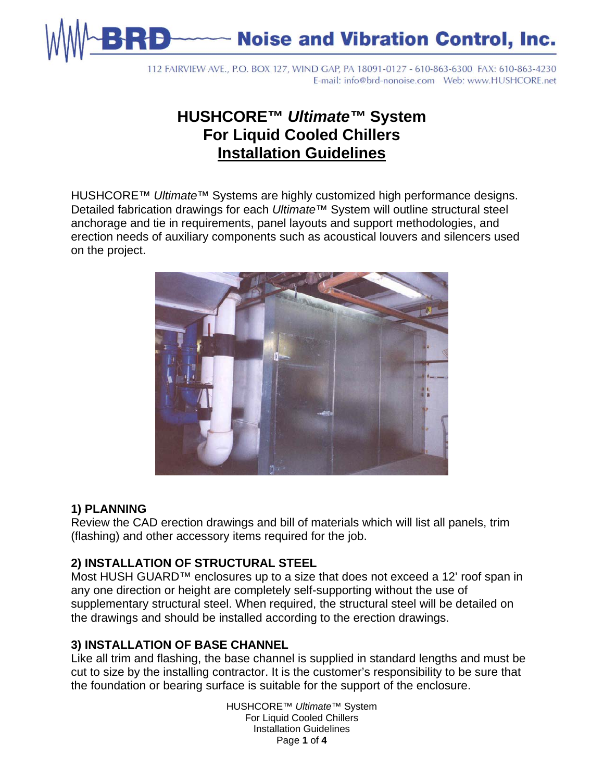

**Noise and Vibration Control, Inc.** 

112 FAIRVIEW AVE., P.O. BOX 127, WIND GAP, PA 18091-0127 - 610-863-6300 FAX: 610-863-4230 

# **HUSHCORE™** *Ultimate™* **System For Liquid Cooled Chillers Installation Guidelines**

HUSHCORE™ *Ultimate*™ Systems are highly customized high performance designs. Detailed fabrication drawings for each *Ultimate*™ System will outline structural steel anchorage and tie in requirements, panel layouts and support methodologies, and erection needs of auxiliary components such as acoustical louvers and silencers used on the project.



### **1) PLANNING**

Review the CAD erection drawings and bill of materials which will list all panels, trim (flashing) and other accessory items required for the job.

### **2) INSTALLATION OF STRUCTURAL STEEL**

Most HUSH GUARD™ enclosures up to a size that does not exceed a 12' roof span in any one direction or height are completely self-supporting without the use of supplementary structural steel. When required, the structural steel will be detailed on the drawings and should be installed according to the erection drawings.

### **3) INSTALLATION OF BASE CHANNEL**

Like all trim and flashing, the base channel is supplied in standard lengths and must be cut to size by the installing contractor. It is the customer's responsibility to be sure that the foundation or bearing surface is suitable for the support of the enclosure.

> HUSHCORE™ *Ultimate™* System For Liquid Cooled Chillers Installation Guidelines Page **1** of **4**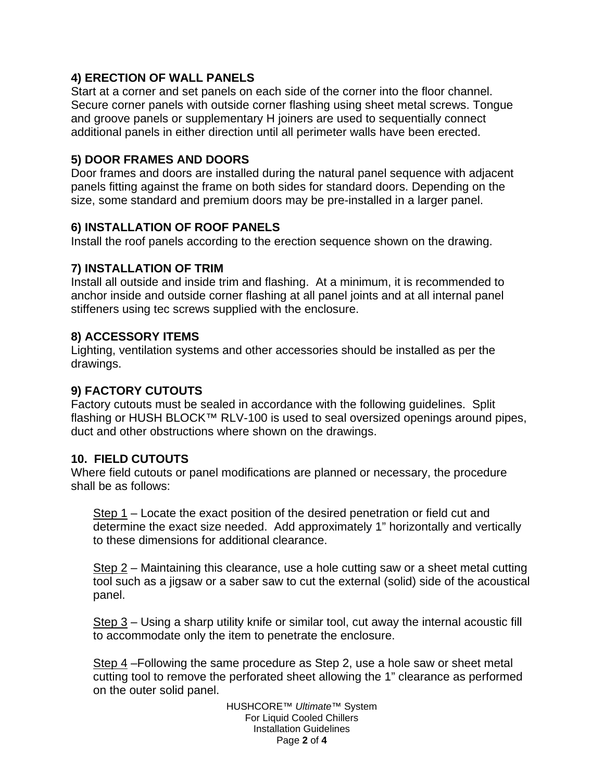## **4) ERECTION OF WALL PANELS**

Start at a corner and set panels on each side of the corner into the floor channel. Secure corner panels with outside corner flashing using sheet metal screws. Tongue and groove panels or supplementary H joiners are used to sequentially connect additional panels in either direction until all perimeter walls have been erected.

## **5) DOOR FRAMES AND DOORS**

Door frames and doors are installed during the natural panel sequence with adjacent panels fitting against the frame on both sides for standard doors. Depending on the size, some standard and premium doors may be pre-installed in a larger panel.

## **6) INSTALLATION OF ROOF PANELS**

Install the roof panels according to the erection sequence shown on the drawing.

## **7) INSTALLATION OF TRIM**

Install all outside and inside trim and flashing. At a minimum, it is recommended to anchor inside and outside corner flashing at all panel joints and at all internal panel stiffeners using tec screws supplied with the enclosure.

### **8) ACCESSORY ITEMS**

Lighting, ventilation systems and other accessories should be installed as per the drawings.

## **9) FACTORY CUTOUTS**

Factory cutouts must be sealed in accordance with the following guidelines. Split flashing or HUSH BLOCK<sup>™</sup> RLV-100 is used to seal oversized openings around pipes, duct and other obstructions where shown on the drawings.

### **10. FIELD CUTOUTS**

Where field cutouts or panel modifications are planned or necessary, the procedure shall be as follows:

Step 1 – Locate the exact position of the desired penetration or field cut and determine the exact size needed. Add approximately 1" horizontally and vertically to these dimensions for additional clearance.

Step 2 – Maintaining this clearance, use a hole cutting saw or a sheet metal cutting tool such as a jigsaw or a saber saw to cut the external (solid) side of the acoustical panel.

Step 3 – Using a sharp utility knife or similar tool, cut away the internal acoustic fill to accommodate only the item to penetrate the enclosure.

Step 4 –Following the same procedure as Step 2, use a hole saw or sheet metal cutting tool to remove the perforated sheet allowing the 1" clearance as performed on the outer solid panel.

> HUSHCORE™ *Ultimate™* System For Liquid Cooled Chillers Installation Guidelines Page **2** of **4**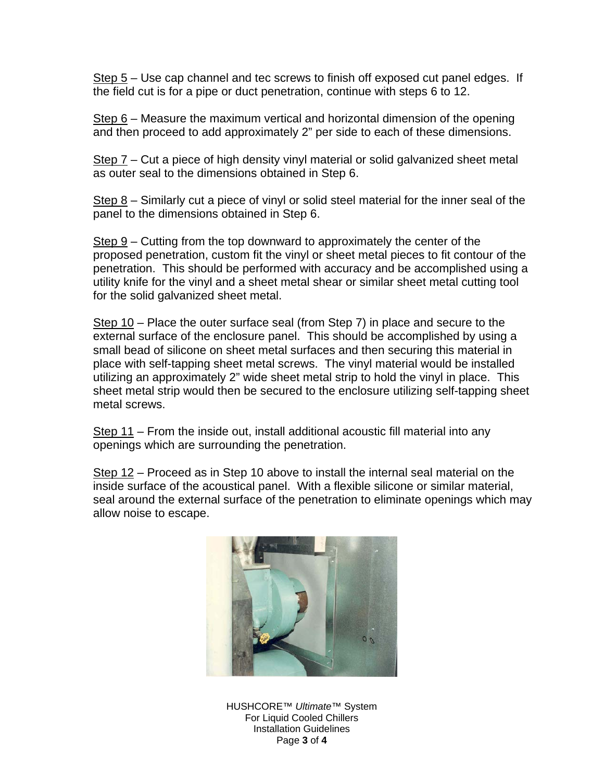Step 5 – Use cap channel and tec screws to finish off exposed cut panel edges. If the field cut is for a pipe or duct penetration, continue with steps 6 to 12.

Step 6 – Measure the maximum vertical and horizontal dimension of the opening and then proceed to add approximately 2" per side to each of these dimensions.

Step 7 – Cut a piece of high density vinyl material or solid galvanized sheet metal as outer seal to the dimensions obtained in Step 6.

Step 8 – Similarly cut a piece of vinyl or solid steel material for the inner seal of the panel to the dimensions obtained in Step 6.

Step 9 – Cutting from the top downward to approximately the center of the proposed penetration, custom fit the vinyl or sheet metal pieces to fit contour of the penetration. This should be performed with accuracy and be accomplished using a utility knife for the vinyl and a sheet metal shear or similar sheet metal cutting tool for the solid galvanized sheet metal.

Step 10 – Place the outer surface seal (from Step 7) in place and secure to the external surface of the enclosure panel. This should be accomplished by using a small bead of silicone on sheet metal surfaces and then securing this material in place with self-tapping sheet metal screws. The vinyl material would be installed utilizing an approximately 2" wide sheet metal strip to hold the vinyl in place. This sheet metal strip would then be secured to the enclosure utilizing self-tapping sheet metal screws.

Step 11 – From the inside out, install additional acoustic fill material into any openings which are surrounding the penetration.

Step 12 – Proceed as in Step 10 above to install the internal seal material on the inside surface of the acoustical panel. With a flexible silicone or similar material, seal around the external surface of the penetration to eliminate openings which may allow noise to escape.



HUSHCORE™ *Ultimate™* System For Liquid Cooled Chillers Installation Guidelines Page **3** of **4**